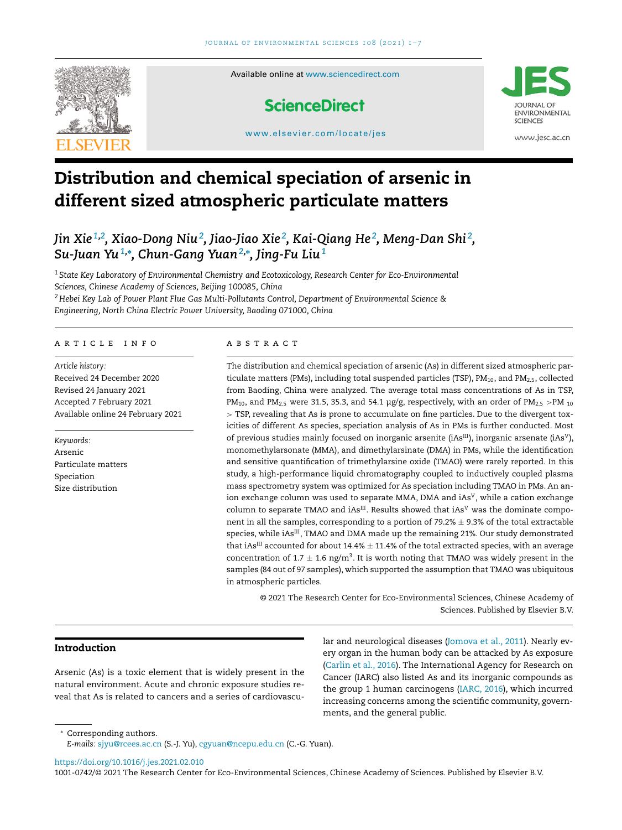

# **Distribution and chemical speciation of arsenic in different sized atmospheric particulate matters**

## *Jin Xie 1,2 , Xiao-Dong Niu<sup>2</sup> , Jiao-Jiao Xie <sup>2</sup> , Kai-Qiang He <sup>2</sup> , Meng-Dan Shi <sup>2</sup> , Su-Juan Yu1,***<sup>∗</sup>** *, Chun-Gang Yuan2,***<sup>∗</sup>** *, Jing-Fu Liu<sup>1</sup>*

<sup>1</sup> *State Key Laboratory of Environmental Chemistry and Ecotoxicology, Research Center for Eco-Environmental Sciences, Chinese Academy of Sciences, Beijing 100085, China* <sup>2</sup> *Hebei Key Lab of Power Plant Flue Gas Multi-Pollutants Control, Department of Environmental Science & Engineering, North China Electric Power University, Baoding 071000, China*

#### a r t i c l e i n f o

*Article history:* Received 24 December 2020 Revised 24 January 2021 Accepted 7 February 2021 Available online 24 February 2021

*Keywords:* Arsenic Particulate matters Speciation Size distribution

## A B S T R A C T

The distribution and chemical speciation of arsenic (As) in different sized atmospheric particulate matters (PMs), including total suspended particles (TSP),  $PM_{10}$ , and  $PM_{2.5}$ , collected from Baoding, China were analyzed. The average total mass concentrations of As in TSP, PM<sub>10</sub>, and PM<sub>2.5</sub> were 31.5, 35.3, and 54.1  $\mu$ g/g, respectively, with an order of PM<sub>2.5</sub> >PM<sub>10</sub> > TSP, revealing that As is prone to accumulate on fine particles. Due to the divergent toxicities of different As species, speciation analysis of As in PMs is further conducted. Most of previous studies mainly focused on inorganic arsenite (iAs<sup>III</sup>), inorganic arsenate (iAs<sup>V</sup>), monomethylarsonate (MMA), and dimethylarsinate (DMA) in PMs, while the identification and sensitive quantification of trimethylarsine oxide (TMAO) were rarely reported. In this study, a high-performance liquid chromatography coupled to inductively coupled plasma mass spectrometry system was optimized for As speciation including TMAO in PMs. An anion exchange column was used to separate MMA, DMA and  $iAs<sup>V</sup>$ , while a cation exchange column to separate TMAO and iAs $^{III}$ . Results showed that iAs<sup>V</sup> was the dominate component in all the samples, corresponding to a portion of 79.2%  $\pm$  9.3% of the total extractable species, while iAs<sup>III</sup>, TMAO and DMA made up the remaining 21%. Our study demonstrated that iAs<sup>III</sup> accounted for about 14.4%  $\pm$  11.4% of the total extracted species, with an average concentration of 1.7  $\pm$  1.6 ng/m<sup>3</sup>. It is worth noting that TMAO was widely present in the samples (84 out of 97 samples), which supported the assumption that TMAO was ubiquitous in atmospheric particles.

© 2021 The Research Center for Eco-Environmental Sciences, Chinese Academy of Sciences. Published by Elsevier B.V.

## **Introduction**

Arsenic (As) is a toxic element that is widely present in the natural environment. Acute and chronic exposure studies reveal that As is related to cancers and a series of cardiovascular and neurological diseases [\(Jomova](#page-6-0) et al., 2011). Nearly every organ in the human body can be attacked by As exposure [\(Carlin](#page-6-0) et al., 2016). The International Agency for Research on Cancer (IARC) also listed As and its inorganic compounds as the group 1 human carcinogens [\(IARC,](#page-6-0) 2016), which incurred increasing concerns among the scientific community, governments, and the general public.

<sup>∗</sup> Corresponding authors.

*E-mails:* [sjyu@rcees.ac.cn](mailto:sjyu@rcees.ac.cn) (S.-J. Yu), [cgyuan@ncepu.edu.cn](mailto:cgyuan@ncepu.edu.cn) (C.-G. Yuan).

<https://doi.org/10.1016/j.jes.2021.02.010>

1001-0742/© 2021 The Research Center for Eco-Environmental Sciences, Chinese Academy of Sciences. Published by Elsevier B.V.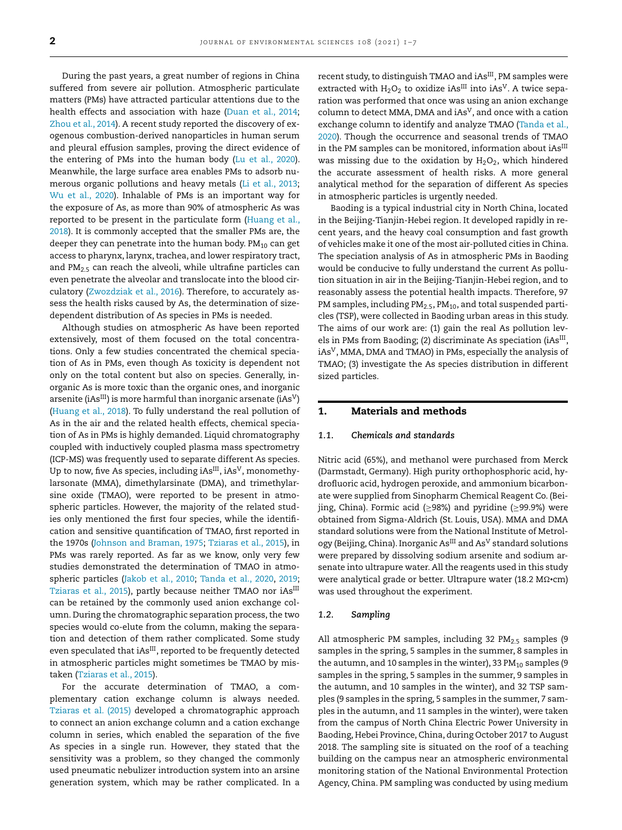During the past years, a great number of regions in China suffered from severe air pollution. Atmospheric particulate matters (PMs) have attracted particular attentions due to the health effects and association with haze [\(Duan](#page-6-0) et al., 2014; [Zhou](#page-6-0) et al., 2014). A recent study reported the discovery of exogenous combustion-derived nanoparticles in human serum and pleural effusion samples, proving the direct evidence of the entering of PMs into the human body (Lu et al., [2020\)](#page-6-0). Meanwhile, the large surface area enables PMs to adsorb numerous organic pollutions and heavy metals (Li et al., [2013;](#page-6-0) Wu et al., [2020\)](#page-6-0). Inhalable of PMs is an important way for the exposure of As, as more than 90% of atmospheric As was reported to be present in the [particulate](#page-6-0) form (Huang et al., 2018). It is commonly accepted that the smaller PMs are, the deeper they can penetrate into the human body.  $PM_{10}$  can get access to pharynx, larynx, trachea, and lower respiratory tract, and  $PM_{2.5}$  can reach the alveoli, while ultrafine particles can even penetrate the alveolar and translocate into the blood circulatory [\(Zwozdziak](#page-6-0) et al., 2016). Therefore, to accurately assess the health risks caused by As, the determination of sizedependent distribution of As species in PMs is needed.

Although studies on atmospheric As have been reported extensively, most of them focused on the total concentrations. Only a few studies concentrated the chemical speciation of As in PMs, even though As toxicity is dependent not only on the total content but also on species. Generally, inorganic As is more toxic than the organic ones, and inorganic arsenite (iAs<sup>III</sup>) is more harmful than inorganic arsenate (iAs<sup>V</sup>) [\(Huang](#page-6-0) et al., 2018). To fully understand the real pollution of As in the air and the related health effects, chemical speciation of As in PMs is highly demanded. Liquid chromatography coupled with inductively coupled plasma mass spectrometry (ICP-MS) was frequently used to separate different As species. Up to now, five As species, including  $iAs^{III}$ ,  $iAs^{V}$ , monomethylarsonate (MMA), dimethylarsinate (DMA), and trimethylarsine oxide (TMAO), were reported to be present in atmospheric particles. However, the majority of the related studies only mentioned the first four species, while the identification and sensitive quantification of TMAO, first reported in the 1970s (Johnson and [Braman,](#page-6-0) 1975; [Tziaras](#page-6-0) et al., 2015), in PMs was rarely reported. As far as we know, only very few studies demonstrated the determination of TMAO in atmospheric particles [\(Jakob](#page-6-0) et al., 2010; [Tanda](#page-6-0) et al., 2020, [2019;](#page-6-0) [Tziaras](#page-6-0) et al., 2015), partly because neither TMAO nor iAs<sup>III</sup> can be retained by the commonly used anion exchange column. During the chromatographic separation process, the two species would co-elute from the column, making the separation and detection of them rather complicated. Some study even speculated that iAs<sup>III</sup>, reported to be frequently detected in atmospheric particles might sometimes be TMAO by mistaken [\(Tziaras](#page-6-0) et al., 2015).

For the accurate determination of TMAO, a complementary cation exchange column is always needed. [Tziaras](#page-6-0) et al. (2015) developed a chromatographic approach to connect an anion exchange column and a cation exchange column in series, which enabled the separation of the five As species in a single run. However, they stated that the sensitivity was a problem, so they changed the commonly used pneumatic nebulizer introduction system into an arsine generation system, which may be rather complicated. In a

recent study, to distinguish TMAO and iAs<sup>III</sup>, PM samples were extracted with  $H_2O_2$  to oxidize iAs<sup>III</sup> into iAs<sup>V</sup>. A twice separation was performed that once was using an anion exchange column to detect MMA, DMA and  $iAs<sup>V</sup>$ , and once with a cation exchange column to identify and analyze TMAO (Tanda et al., 2020). Though the [occurrence](#page-6-0) and seasonal trends of TMAO in the PM samples can be monitored, information about  $iAs^{III}$ was missing due to the oxidation by  $H_2O_2$ , which hindered the accurate assessment of health risks. A more general analytical method for the separation of different As species in atmospheric particles is urgently needed.

Baoding is a typical industrial city in North China, located in the Beijing-Tianjin-Hebei region. It developed rapidly in recent years, and the heavy coal consumption and fast growth of vehicles make it one of the most air-polluted cities in China. The speciation analysis of As in atmospheric PMs in Baoding would be conducive to fully understand the current As pollution situation in air in the Beijing-Tianjin-Hebei region, and to reasonably assess the potential health impacts. Therefore, 97 PM samples, including  $PM_{2.5}$ ,  $PM_{10}$ , and total suspended particles (TSP), were collected in Baoding urban areas in this study. The aims of our work are: (1) gain the real As pollution levels in PMs from Baoding; (2) discriminate As speciation (iAs<sup>III</sup>, iAsV, MMA, DMA and TMAO) in PMs, especially the analysis of TMAO; (3) investigate the As species distribution in different sized particles.

## **1. Materials and methods**

## *1.1. Chemicals and standards*

Nitric acid (65%), and methanol were purchased from Merck (Darmstadt, Germany). High purity orthophosphoric acid, hydrofluoric acid, hydrogen peroxide, and ammonium bicarbonate were supplied from Sinopharm Chemical Reagent Co. (Beijing, China). Formic acid ( $\geq$ 98%) and pyridine ( $\geq$ 99.9%) were obtained from Sigma-Aldrich (St. Louis, USA). MMA and DMA standard solutions were from the National Institute of Metrology (Beijing, China). Inorganic As<sup>III</sup> and As<sup>V</sup> standard solutions were prepared by dissolving sodium arsenite and sodium arsenate into ultrapure water. All the reagents used in this study were analytical grade or better. Ultrapure water (18.2 M2·cm) was used throughout the experiment.

#### *1.2. Sampling*

All atmospheric PM samples, including 32  $PM_{2.5}$  samples (9 samples in the spring, 5 samples in the summer, 8 samples in the autumn, and 10 samples in the winter), 33  $PM_{10}$  samples (9 samples in the spring, 5 samples in the summer, 9 samples in the autumn, and 10 samples in the winter), and 32 TSP samples (9 samples in the spring, 5 samples in the summer, 7 samples in the autumn, and 11 samples in the winter), were taken from the campus of North China Electric Power University in Baoding, Hebei Province, China, during October 2017 to August 2018. The sampling site is situated on the roof of a teaching building on the campus near an atmospheric environmental monitoring station of the National Environmental Protection Agency, China. PM sampling was conducted by using medium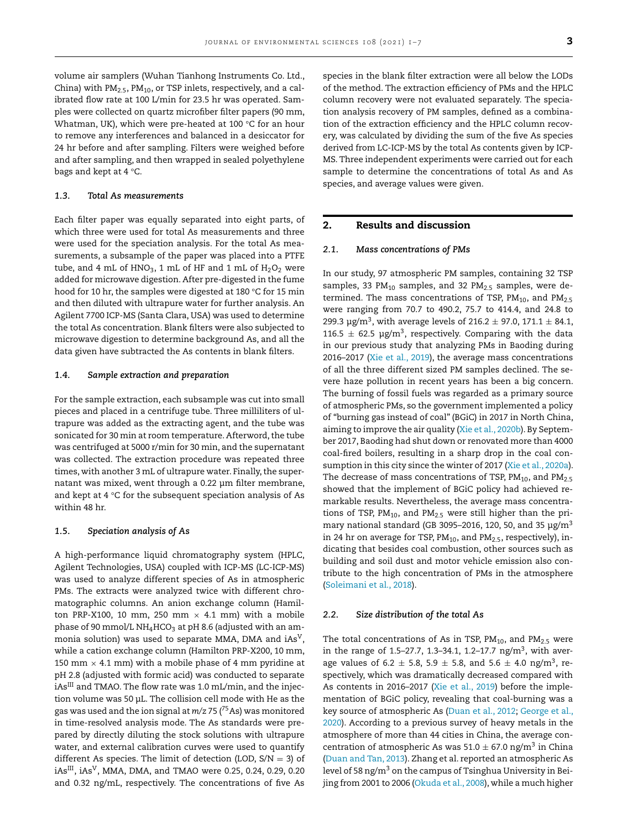volume air samplers (Wuhan Tianhong Instruments Co. Ltd., China) with  $PM_{2.5}$ ,  $PM_{10}$ , or TSP inlets, respectively, and a calibrated flow rate at 100 L/min for 23.5 hr was operated. Samples were collected on quartz microfiber filter papers (90 mm, Whatman, UK), which were pre-heated at 100 °C for an hour to remove any interferences and balanced in a desiccator for 24 hr before and after sampling. Filters were weighed before and after sampling, and then wrapped in sealed polyethylene bags and kept at 4 °C.

#### *1.3. Total As measurements*

Each filter paper was equally separated into eight parts, of which three were used for total As measurements and three were used for the speciation analysis. For the total As measurements, a subsample of the paper was placed into a PTFE tube, and 4 mL of  $HNO<sub>3</sub>$ , 1 mL of HF and 1 mL of  $H<sub>2</sub>O<sub>2</sub>$  were added for microwave digestion. After pre-digested in the fume hood for 10 hr, the samples were digested at 180 °C for 15 min and then diluted with ultrapure water for further analysis. An Agilent 7700 ICP-MS (Santa Clara, USA) was used to determine the total As concentration. Blank filters were also subjected to microwave digestion to determine background As, and all the data given have subtracted the As contents in blank filters.

#### *1.4. Sample extraction and preparation*

For the sample extraction, each subsample was cut into small pieces and placed in a centrifuge tube. Three milliliters of ultrapure was added as the extracting agent, and the tube was sonicated for 30 min at room temperature. Afterword, the tube was centrifuged at 5000 r/min for 30 min, and the supernatant was collected. The extraction procedure was repeated three times, with another 3 mL of ultrapure water. Finally, the supernatant was mixed, went through a 0.22 μm filter membrane, and kept at 4 °C for the subsequent speciation analysis of As within 48 hr.

## *1.5. Speciation analysis of As*

A high-performance liquid chromatography system (HPLC, Agilent Technologies, USA) coupled with ICP-MS (LC-ICP-MS) was used to analyze different species of As in atmospheric PMs. The extracts were analyzed twice with different chromatographic columns. An anion exchange column (Hamilton PRP-X100, 10 mm, 250 mm  $\times$  4.1 mm) with a mobile phase of 90 mmol/L NH<sub>4</sub>HCO<sub>3</sub> at pH 8.6 (adjusted with an ammonia solution) was used to separate MMA, DMA and iAs<sup>V</sup>, while a cation exchange column (Hamilton PRP-X200, 10 mm, 150 mm  $\times$  4.1 mm) with a mobile phase of 4 mm pyridine at pH 2.8 (adjusted with formic acid) was conducted to separate iAs<sup>III</sup> and TMAO. The flow rate was 1.0 mL/min, and the injection volume was 50 μL. The collision cell mode with He as the gas was used and the ion signal at *m/z* 75 ( 75As) was monitored in time-resolved analysis mode. The As standards were prepared by directly diluting the stock solutions with ultrapure water, and external calibration curves were used to quantify different As species. The limit of detection (LOD,  $S/N = 3$ ) of  $iAs$ <sup>III</sup>,  $iAs<sup>V</sup>$ , MMA, DMA, and TMAO were 0.25, 0.24, 0.29, 0.20 and 0.32 ng/mL, respectively. The concentrations of five As

species in the blank filter extraction were all below the LODs of the method. The extraction efficiency of PMs and the HPLC column recovery were not evaluated separately. The speciation analysis recovery of PM samples, defined as a combination of the extraction efficiency and the HPLC column recovery, was calculated by dividing the sum of the five As species derived from LC-ICP-MS by the total As contents given by ICP-MS. Three independent experiments were carried out for each sample to determine the concentrations of total As and As species, and average values were given.

## **2. Results and discussion**

### *2.1. Mass concentrations of PMs*

In our study, 97 atmospheric PM samples, containing 32 TSP samples, 33 PM<sub>10</sub> samples, and 32 PM<sub>2.5</sub> samples, were determined. The mass concentrations of TSP,  $PM_{10}$ , and  $PM_{2.5}$ were ranging from 70.7 to 490.2, 75.7 to 414.4, and 24.8 to 299.3  $\mu$ g/m<sup>3</sup>, with average levels of 216.2  $\pm$  97.0, 171.1  $\pm$  84.1, 116.5  $\pm$  62.5 µg/m<sup>3</sup>, respectively. Comparing with the data in our previous study that analyzing PMs in Baoding during 2016–2017 (Xie et al., [2019\)](#page-6-0), the average mass concentrations of all the three different sized PM samples declined. The severe haze pollution in recent years has been a big concern. The burning of fossil fuels was regarded as a primary source of atmospheric PMs, so the government implemented a policy of "burning gas instead of coal" (BGiC) in 2017 in North China, aiming to improve the air quality (Xie et al., [2020b\)](#page-6-0). By September 2017, Baoding had shut down or renovated more than 4000 coal-fired boilers, resulting in a sharp drop in the coal con-sumption in this city since the winter of 2017 (Xie et al., [2020a\)](#page-6-0). The decrease of mass concentrations of TSP,  $PM_{10}$ , and  $PM_{2.5}$ showed that the implement of BGiC policy had achieved remarkable results. Nevertheless, the average mass concentrations of TSP,  $PM_{10}$ , and  $PM_{2.5}$  were still higher than the primary national standard (GB 3095–2016, 120, 50, and 35  $\mu$ g/m<sup>3</sup> in 24 hr on average for TSP,  $PM_{10}$ , and  $PM_{2.5}$ , respectively), indicating that besides coal combustion, other sources such as building and soil dust and motor vehicle emission also contribute to the high concentration of PMs in the atmosphere [\(Soleimani](#page-6-0) et al., 2018).

#### *2.2. Size distribution of the total As*

The total concentrations of As in TSP,  $PM_{10}$ , and  $PM_{2.5}$  were in the range of 1.5–27.7, 1.3–34.1, 1.2–17.7 ng/m<sup>3</sup>, with average values of 6.2  $\pm$  5.8, 5.9  $\pm$  5.8, and 5.6  $\pm$  4.0 ng/m<sup>3</sup>, respectively, which was dramatically decreased compared with As contents in 2016–2017 (Xie et al., [2019\)](#page-6-0) before the implementation of BGiC policy, revealing that coal-burning was a key source of [atmospheric](#page-6-0) As [\(Duan](#page-6-0) et al., 2012; George et al., 2020). According to a previous survey of heavy metals in the atmosphere of more than 44 cities in China, the average concentration of atmospheric As was  $51.0 \pm 67.0$  ng/m<sup>3</sup> in China [\(Duan](#page-6-0) and Tan, 2013). Zhang et al. reported an atmospheric As level of 58 ng/m<sup>3</sup> on the campus of Tsinghua University in Beijing from 2001 to 2006 [\(Okuda](#page-6-0) et al., 2008), while a much higher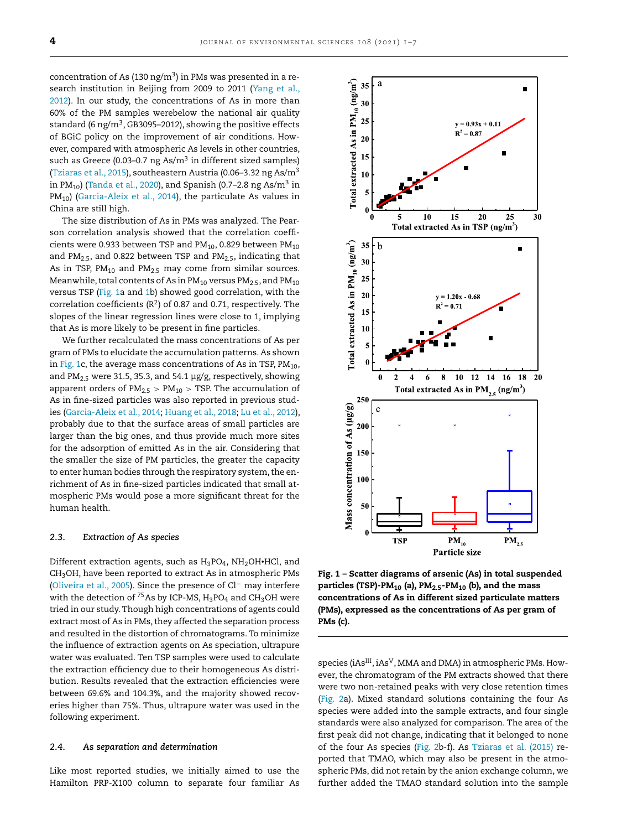concentration of As (130 ng/m<sup>3</sup>) in PMs was presented in a research institution in Beijing from 2009 to 2011 (Yang et al., 2012). In our study, the [concentrations](#page-6-0) of As in more than 60% of the PM samples werebelow the national air quality standard (6 ng/m<sup>3</sup>, GB3095-2012), showing the positive effects of BGiC policy on the improvement of air conditions. However, compared with atmospheric As levels in other countries, such as Greece (0.03-0.7 ng As/ $m<sup>3</sup>$  in different sized samples) [\(Tziaras](#page-6-0) et al., 2015), southeastern Austria (0.06–3.32 ng As/m<sup>3</sup> in PM<sub>10</sub>) [\(Tanda](#page-6-0) et al., 2020), and Spanish (0.7–2.8 ng As/m<sup>3</sup> in  $PM_{10}$ ) [\(Garcia-Aleix](#page-6-0) et al., 2014), the particulate As values in China are still high.

The size distribution of As in PMs was analyzed. The Pearson correlation analysis showed that the correlation coefficients were 0.933 between TSP and  $PM_{10}$ , 0.829 between  $PM_{10}$ and  $PM<sub>2.5</sub>$ , and 0.822 between TSP and  $PM<sub>2.5</sub>$ , indicating that As in TSP,  $PM_{10}$  and  $PM_{25}$  may come from similar sources. Meanwhile, total contents of As in  $PM_{10}$  versus  $PM_{2.5}$ , and  $PM_{10}$ versus TSP (Fig. 1a and 1b) showed good correlation, with the correlation coefficients  $(R^2)$  of 0.87 and 0.71, respectively. The slopes of the linear regression lines were close to 1, implying that As is more likely to be present in fine particles.

We further recalculated the mass concentrations of As per gram of PMs to elucidate the accumulation patterns. As shown in Fig. 1c, the average mass concentrations of As in TSP,  $PM_{10}$ , and PM<sub>2.5</sub> were 31.5, 35.3, and 54.1  $\mu$ g/g, respectively, showing apparent orders of  $PM_{2.5} > PM_{10} > TSP$ . The accumulation of As in fine-sized particles was also reported in previous studies [\(Garcia-Aleix](#page-6-0) et al., 2014; [Huang](#page-6-0) et al., 2018; Lu et al., [2012\)](#page-6-0), probably due to that the surface areas of small particles are larger than the big ones, and thus provide much more sites for the adsorption of emitted As in the air. Considering that the smaller the size of PM particles, the greater the capacity to enter human bodies through the respiratory system, the enrichment of As in fine-sized particles indicated that small atmospheric PMs would pose a more significant threat for the human health.

## *2.3. Extraction of As species*

Different extraction agents, such as  $H_3PO_4$ ,  $NH_2OH$ •HCl, and  $CH<sub>3</sub>OH$ , have been reported to extract As in atmospheric PMs [\(Oliveira](#page-6-0) et al., 2005). Since the presence of Cl− may interfere with the detection of <sup>75</sup>As by ICP-MS,  $H_3PO_4$  and CH<sub>3</sub>OH were tried in our study. Though high concentrations of agents could extract most of As in PMs, they affected the separation process and resulted in the distortion of chromatograms. To minimize the influence of extraction agents on As speciation, ultrapure water was evaluated. Ten TSP samples were used to calculate the extraction efficiency due to their homogeneous As distribution. Results revealed that the extraction efficiencies were between 69.6% and 104.3%, and the majority showed recoveries higher than 75%. Thus, ultrapure water was used in the following experiment.

## *2.4. As separation and determination*

Like most reported studies, we initially aimed to use the Hamilton PRP-X100 column to separate four familiar As



**Fig. 1 – Scatter diagrams of arsenic (As) in total suspended particles (TSP)-PM10 (a), PM2.5-PM10 (b), and the mass concentrations of As in different sized particulate matters (PMs), expressed as the concentrations of As per gram of PMs (c).**

species (iAs<sup>III</sup>, iAs<sup>V</sup>, MMA and DMA) in atmospheric PMs. However, the chromatogram of the PM extracts showed that there were two non-retained peaks with very close retention times [\(Fig.](#page-4-0) 2a). Mixed standard solutions containing the four As species were added into the sample extracts, and four single standards were also analyzed for comparison. The area of the first peak did not change, indicating that it belonged to none of the four As species [\(Fig.](#page-4-0) 2b-f). As [Tziaras](#page-6-0) et al. (2015) reported that TMAO, which may also be present in the atmospheric PMs, did not retain by the anion exchange column, we further added the TMAO standard solution into the sample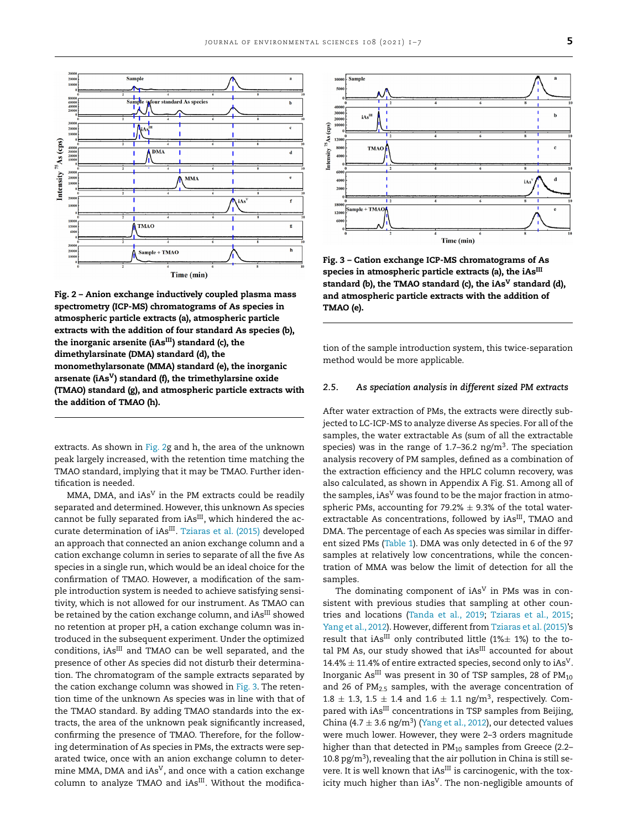<span id="page-4-0"></span>

**Fig. 2 – Anion exchange inductively coupled plasma mass spectrometry (ICP-MS) chromatograms of As species in atmospheric particle extracts (a), atmospheric particle extracts with the addition of four standard As species (b), the inorganic arsenite (iAsIII) standard (c), the dimethylarsinate (DMA) standard (d), the monomethylarsonate (MMA) standard (e), the inorganic arsenate (iAsV) standard (f), the trimethylarsine oxide (TMAO) standard (g), and atmospheric particle extracts with the addition of TMAO (h).**

extracts. As shown in Fig. 2g and h, the area of the unknown peak largely increased, with the retention time matching the TMAO standard, implying that it may be TMAO. Further identification is needed.

MMA, DMA, and  $iAs<sup>V</sup>$  in the PM extracts could be readily separated and determined. However, this unknown As species cannot be fully separated from  $iAs^{III}$ , which hindered the ac-curate determination of iAs<sup>III</sup>. [Tziaras](#page-6-0) et al. (2015) developed an approach that connected an anion exchange column and a cation exchange column in series to separate of all the five As species in a single run, which would be an ideal choice for the confirmation of TMAO. However, a modification of the sample introduction system is needed to achieve satisfying sensitivity, which is not allowed for our instrument. As TMAO can be retained by the cation exchange column, and iAs<sup>III</sup> showed no retention at proper pH, a cation exchange column was introduced in the subsequent experiment. Under the optimized conditions, iAs<sup>III</sup> and TMAO can be well separated, and the presence of other As species did not disturb their determination. The chromatogram of the sample extracts separated by the cation exchange column was showed in Fig. 3. The retention time of the unknown As species was in line with that of the TMAO standard. By adding TMAO standards into the extracts, the area of the unknown peak significantly increased, confirming the presence of TMAO. Therefore, for the following determination of As species in PMs, the extracts were separated twice, once with an anion exchange column to determine MMA, DMA and iAs<sup>V</sup>, and once with a cation exchange column to analyze TMAO and iAs<sup>III</sup>. Without the modifica-



**Fig. 3 – Cation exchange ICP-MS chromatograms of As species in atmospheric particle extracts (a), the iAsIII standard (b), the TMAO standard (c), the iAs<sup>V</sup> standard (d), and atmospheric particle extracts with the addition of TMAO (e).**

tion of the sample introduction system, this twice-separation method would be more applicable.

## *2.5. As speciation analysis in different sized PM extracts*

After water extraction of PMs, the extracts were directly subjected to LC-ICP-MS to analyze diverse As species. For all of the samples, the water extractable As (sum of all the extractable species) was in the range of  $1.7-36.2$  ng/m<sup>3</sup>. The speciation analysis recovery of PM samples, defined as a combination of the extraction efficiency and the HPLC column recovery, was also calculated, as shown in Appendix A Fig. S1. Among all of the samples,  $iAs<sup>V</sup>$  was found to be the major fraction in atmospheric PMs, accounting for 79.2%  $\pm$  9.3% of the total waterextractable As concentrations, followed by iAs<sup>III</sup>, TMAO and DMA. The percentage of each As species was similar in different sized PMs [\(Table](#page-5-0) 1). DMA was only detected in 6 of the 97 samples at relatively low concentrations, while the concentration of MMA was below the limit of detection for all the samples.

The dominating component of  $iAs<sup>V</sup>$  in PMs was in consistent with previous studies that sampling at other countries and locations [\(Tanda](#page-6-0) et al., 2019; [Tziaras](#page-6-0) et al., 2015; [Yang](#page-6-0) et al., 2012). However, different from [Tziaras](#page-6-0) et al. (2015)'s result that iAs<sup>III</sup> only contributed little (1% $\pm$  1%) to the total PM As, our study showed that  $i$ As<sup>III</sup> accounted for about 14.4%  $\pm$  11.4% of entire extracted species, second only to iAs<sup>V</sup>. Inorganic  $As<sup>III</sup>$  was present in 30 of TSP samples, 28 of  $PM_{10}$ and 26 of  $PM<sub>2.5</sub>$  samples, with the average concentration of  $1.8 \pm 1.3$ ,  $1.5 \pm 1.4$  and  $1.6 \pm 1.1$  ng/m<sup>3</sup>, respectively. Compared with iAs<sup>III</sup> concentrations in TSP samples from Beijing, China (4.7  $\pm$  3.6 ng/m<sup>3</sup>) [\(Yang](#page-6-0) et al., 2012), our detected values were much lower. However, they were 2–3 orders magnitude higher than that detected in  $PM_{10}$  samples from Greece (2.2– 10.8 pg/m<sup>3</sup>), revealing that the air pollution in China is still severe. It is well known that iAs<sup>III</sup> is carcinogenic, with the toxicity much higher than iAs<sup>V</sup>. The non-negligible amounts of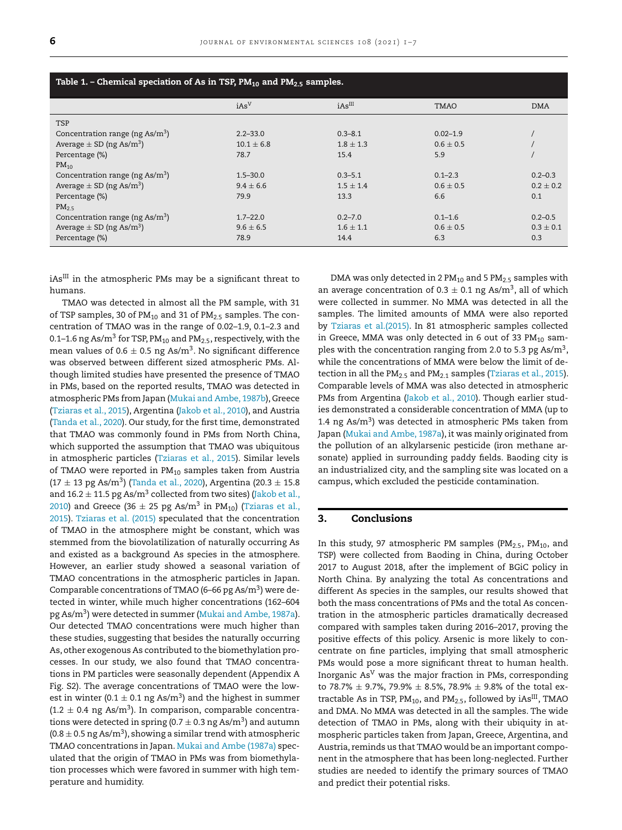<span id="page-5-0"></span>

| Table 1. – Chemical speciation of As in TSP, $PM_{10}$ and $PM_{2.5}$ samples. |                  |               |               |               |
|--------------------------------------------------------------------------------|------------------|---------------|---------------|---------------|
|                                                                                | iAs <sup>V</sup> | $iAs^{III}$   | <b>TMAO</b>   | <b>DMA</b>    |
| <b>TSP</b>                                                                     |                  |               |               |               |
| Concentration range (ng $\text{As/m}^3$ )                                      | $2.2 - 33.0$     | $0.3 - 8.1$   | $0.02 - 1.9$  |               |
| Average $\pm$ SD (ng As/m <sup>3</sup> )                                       | $10.1 \pm 6.8$   | $1.8 \pm 1.3$ | $0.6 \pm 0.5$ |               |
| Percentage (%)                                                                 | 78.7             | 15.4          | 5.9           |               |
| $PM_{10}$                                                                      |                  |               |               |               |
| Concentration range (ng $\text{As/m}^3$ )                                      | $1.5 - 30.0$     | $0.3 - 5.1$   | $0.1 - 2.3$   | $0.2 - 0.3$   |
| Average $\pm$ SD (ng As/m <sup>3</sup> )                                       | $9.4 \pm 6.6$    | $1.5 \pm 1.4$ | $0.6 \pm 0.5$ | $0.2 \pm 0.2$ |
| Percentage (%)                                                                 | 79.9             | 13.3          | 6.6           | 0.1           |
| $PM_{2.5}$                                                                     |                  |               |               |               |
| Concentration range (ng $\text{As/m}^3$ )                                      | $1.7 - 22.0$     | $0.2 - 7.0$   | $0.1 - 1.6$   | $0.2 - 0.5$   |
| Average $\pm$ SD (ng As/m <sup>3</sup> )                                       | $9.6 \pm 6.5$    | $1.6 \pm 1.1$ | $0.6 \pm 0.5$ | $0.3 \pm 0.1$ |
| Percentage (%)                                                                 | 78.9             | 14.4          | 6.3           | 0.3           |

 $iAs$ <sup>III</sup> in the atmospheric PMs may be a significant threat to humans.

TMAO was detected in almost all the PM sample, with 31 of TSP samples, 30 of  $PM_{10}$  and 31 of  $PM_{2.5}$  samples. The concentration of TMAO was in the range of 0.02–1.9, 0.1–2.3 and 0.1–1.6 ng As/m<sup>3</sup> for TSP,  $PM_{10}$  and  $PM_{2.5}$ , respectively, with the mean values of  $0.6 \pm 0.5$  ng As/m<sup>3</sup>. No significant difference was observed between different sized atmospheric PMs. Although limited studies have presented the presence of TMAO in PMs, based on the reported results, TMAO was detected in atmospheric PMs from Japan [\(Mukai](#page-6-0) and Ambe, 1987b), Greece [\(Tziaras](#page-6-0) et al., 2015), Argentina [\(Jakob](#page-6-0) et al., 2010), and Austria [\(Tanda](#page-6-0) et al., 2020). Our study, for the first time, demonstrated that TMAO was commonly found in PMs from North China, which supported the assumption that TMAO was ubiquitous in atmospheric particles [\(Tziaras](#page-6-0) et al., 2015). Similar levels of TMAO were reported in  $PM_{10}$  samples taken from Austria  $(17 \pm 13 \text{ pg As/m}^3)$  [\(Tanda](#page-6-0) et al., 2020), Argentina (20.3  $\pm$  15.8 and  $16.2 \pm 11.5$  pg As/m<sup>3</sup> [collected](#page-6-0) from two sites) (Jakob et al., 2010) and Greece (36  $\pm$  25 pg As/m<sup>3</sup> in PM<sub>10</sub>) (Tziaras et al., 2015). [Tziaras](#page-6-0) et al. (2015) speculated that the [concentration](#page-6-0) of TMAO in the atmosphere might be constant, which was stemmed from the biovolatilization of naturally occurring As and existed as a background As species in the atmosphere. However, an earlier study showed a seasonal variation of TMAO concentrations in the atmospheric particles in Japan. Comparable concentrations of TMAO (6-66 pg As/ $m<sup>3</sup>$ ) were detected in winter, while much higher concentrations (162–604 pg As/m3) were detected in summer [\(Mukai](#page-6-0) and Ambe, 1987a). Our detected TMAO concentrations were much higher than these studies, suggesting that besides the naturally occurring As, other exogenous As contributed to the biomethylation processes. In our study, we also found that TMAO concentrations in PM particles were seasonally dependent (Appendix A Fig. S2). The average concentrations of TMAO were the lowest in winter (0.1  $\pm$  0.1 ng As/m<sup>3</sup>) and the highest in summer  $(1.2 \pm 0.4 \text{ ng As/m}^3)$ . In comparison, comparable concentrations were detected in spring (0.7  $\pm$  0.3 ng As/m<sup>3</sup>) and autumn  $(0.8 \pm 0.5 \text{ ng As/m}^3)$ , showing a similar trend with atmospheric TMAO concentrations in Japan. Mukai and Ambe [\(1987a\)](#page-6-0) speculated that the origin of TMAO in PMs was from biomethylation processes which were favored in summer with high temperature and humidity.

DMA was only detected in 2  $PM_{10}$  and 5  $PM_{2.5}$  samples with an average concentration of  $0.3 \pm 0.1$  ng As/m<sup>3</sup>, all of which were collected in summer. No MMA was detected in all the samples. The limited amounts of MMA were also reported by Tziaras et [al.\(2015\).](#page-6-0) In 81 atmospheric samples collected in Greece, MMA was only detected in 6 out of 33  $PM_{10}$  samples with the concentration ranging from 2.0 to 5.3 pg As/m3, while the concentrations of MMA were below the limit of detection in all the  $PM<sub>2.5</sub>$  and  $PM<sub>2.1</sub>$  samples [\(Tziaras](#page-6-0) et al., 2015). Comparable levels of MMA was also detected in atmospheric PMs from Argentina [\(Jakob](#page-6-0) et al., 2010). Though earlier studies demonstrated a considerable concentration of MMA (up to 1.4 ng  $As/m<sup>3</sup>$ ) was detected in atmospheric PMs taken from Japan [\(Mukai](#page-6-0) and Ambe, 1987a), it was mainly originated from the pollution of an alkylarsenic pesticide (iron methane arsonate) applied in surrounding paddy fields. Baoding city is an industrialized city, and the sampling site was located on a campus, which excluded the pesticide contamination.

## **3. Conclusions**

In this study, 97 atmospheric PM samples ( $PM_{2.5}$ ,  $PM_{10}$ , and TSP) were collected from Baoding in China, during October 2017 to August 2018, after the implement of BGiC policy in North China. By analyzing the total As concentrations and different As species in the samples, our results showed that both the mass concentrations of PMs and the total As concentration in the atmospheric particles dramatically decreased compared with samples taken during 2016–2017, proving the positive effects of this policy. Arsenic is more likely to concentrate on fine particles, implying that small atmospheric PMs would pose a more significant threat to human health. Inorganic  $As<sup>V</sup>$  was the major fraction in PMs, corresponding to 78.7%  $\pm$  9.7%, 79.9%  $\pm$  8.5%, 78.9%  $\pm$  9.8% of the total extractable As in TSP,  $PM_{10}$ , and  $PM_{2.5}$ , followed by iAs<sup>III</sup>, TMAO and DMA. No MMA was detected in all the samples. The wide detection of TMAO in PMs, along with their ubiquity in atmospheric particles taken from Japan, Greece, Argentina, and Austria, reminds us that TMAO would be an important component in the atmosphere that has been long-neglected. Further studies are needed to identify the primary sources of TMAO and predict their potential risks.